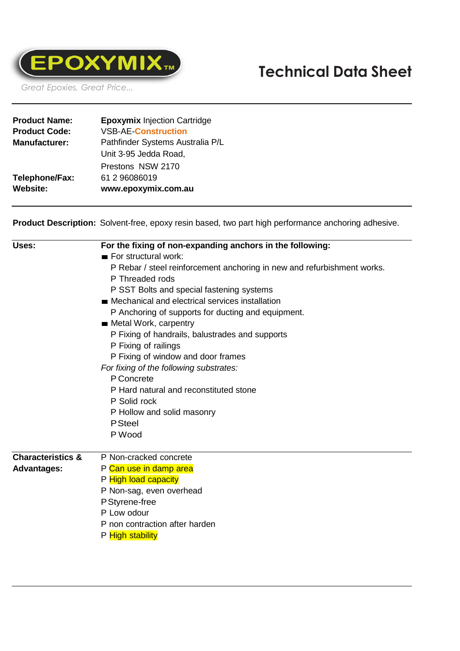

 **Technical Data Sheet**

*Great Epoxies, Great Price...*

| <b>Product Name:</b> | <b>Epoxymix Injection Cartridge</b> |  |
|----------------------|-------------------------------------|--|
| <b>Product Code:</b> | <b>VSB-AE-Construction</b>          |  |
| <b>Manufacturer:</b> | Pathfinder Systems Australia P/L    |  |
|                      | Unit 3-95 Jedda Road,               |  |
|                      | Prestons NSW 2170                   |  |
| Telephone/Fax:       | 61 2 96086019                       |  |
| <b>Website:</b>      | www.epoxymix.com.au                 |  |
|                      |                                     |  |

**Product Description:** Solvent-free, epoxy resin based, two part high performance anchoring adhesive.

| Uses:                        | For the fixing of non-expanding anchors in the following:                                                                                                                                                          |  |  |  |  |
|------------------------------|--------------------------------------------------------------------------------------------------------------------------------------------------------------------------------------------------------------------|--|--|--|--|
|                              | $\blacksquare$ For structural work:<br>P Rebar / steel reinforcement anchoring in new and refurbishment works.                                                                                                     |  |  |  |  |
|                              |                                                                                                                                                                                                                    |  |  |  |  |
|                              | P Threaded rods                                                                                                                                                                                                    |  |  |  |  |
|                              | P SST Bolts and special fastening systems                                                                                                                                                                          |  |  |  |  |
|                              | ■ Mechanical and electrical services installation<br>P Anchoring of supports for ducting and equipment.<br><b>Metal Work, carpentry</b><br>P Fixing of handrails, balustrades and supports<br>P Fixing of railings |  |  |  |  |
|                              |                                                                                                                                                                                                                    |  |  |  |  |
|                              |                                                                                                                                                                                                                    |  |  |  |  |
|                              |                                                                                                                                                                                                                    |  |  |  |  |
|                              |                                                                                                                                                                                                                    |  |  |  |  |
|                              | P Fixing of window and door frames<br>For fixing of the following substrates:                                                                                                                                      |  |  |  |  |
|                              |                                                                                                                                                                                                                    |  |  |  |  |
|                              |                                                                                                                                                                                                                    |  |  |  |  |
|                              | P Solid rock                                                                                                                                                                                                       |  |  |  |  |
|                              | P Hollow and solid masonry                                                                                                                                                                                         |  |  |  |  |
|                              | <b>P</b> Steel                                                                                                                                                                                                     |  |  |  |  |
|                              | P Wood                                                                                                                                                                                                             |  |  |  |  |
| <b>Characteristics &amp;</b> | P Non-cracked concrete                                                                                                                                                                                             |  |  |  |  |
| <b>Advantages:</b>           | P Can use in damp area                                                                                                                                                                                             |  |  |  |  |
|                              | P High load capacity                                                                                                                                                                                               |  |  |  |  |
|                              | P Non-sag, even overhead                                                                                                                                                                                           |  |  |  |  |
|                              | P Styrene-free                                                                                                                                                                                                     |  |  |  |  |
|                              | P Low odour                                                                                                                                                                                                        |  |  |  |  |
|                              | P non contraction after harden                                                                                                                                                                                     |  |  |  |  |
|                              |                                                                                                                                                                                                                    |  |  |  |  |

P High stability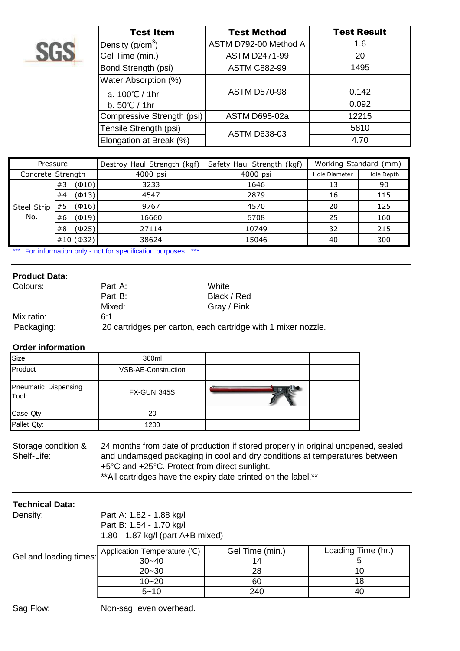

| <b>Test Item</b>           | <b>Test Method</b>    | <b>Test Result</b> |  |
|----------------------------|-----------------------|--------------------|--|
| Density $(g/cm3)$          | ASTM D792-00 Method A | 1.6                |  |
| Gel Time (min.)            | <b>ASTM D2471-99</b>  | 20                 |  |
| Bond Strength (psi)        | <b>ASTM C882-99</b>   | 1495               |  |
| Water Absorption (%)       |                       |                    |  |
| a. $100^{\circ}$ C / 1hr   | <b>ASTM D570-98</b>   | 0.142              |  |
| b. $50^{\circ}$ C / 1hr    |                       | 0.092              |  |
| Compressive Strength (psi) | <b>ASTM D695-02a</b>  | 12215              |  |
| Tensile Strength (psi)     | <b>ASTM D638-03</b>   | 5810               |  |
| Elongation at Break (%)    |                       | 4.70               |  |

| Pressure                                         |          |       | Destroy Haul Strength (kgf) | Safety Haul Strength (kgf) | Working Standard (mm) |            |
|--------------------------------------------------|----------|-------|-----------------------------|----------------------------|-----------------------|------------|
| Concrete Strength                                |          |       | 4000 psi                    | 4000 psi                   | <b>Hole Diameter</b>  | Hole Depth |
| #3<br>#4<br>#5<br>Steel Strip<br>No.<br>#6<br>#8 |          | (Ф10) | 3233                        | 1646                       | 13                    | 90         |
|                                                  |          | (413) | 4547                        | 2879                       | 16                    | 115        |
|                                                  |          | (Ф16) | 9767                        | 4570                       | 20                    | 125        |
|                                                  |          | (419) | 16660                       | 6708                       | 25                    | 160        |
|                                                  |          | (Ф25) | 27114                       | 10749                      | 32                    | 215        |
|                                                  | #10(032) |       | 38624                       | 15046                      | 40                    | 300        |

\*\*\* For information only - not for specification purposes. \*\*\*

### **Product Data:**

| Colours:   | Part A:<br>White                                              |             |  |
|------------|---------------------------------------------------------------|-------------|--|
|            | Part B:                                                       | Black / Red |  |
|            | Mixed:                                                        | Gray / Pink |  |
| Mix ratio: | 611                                                           |             |  |
| Packaging: | 20 cartridges per carton, each cartridge with 1 mixer nozzle. |             |  |

# **Order information**

| Size:                         | 360ml                      |  |
|-------------------------------|----------------------------|--|
| Product                       | <b>VSB-AE-Construction</b> |  |
| Pneumatic Dispensing<br>Tool: | <b>FX-GUN 345S</b>         |  |
| Case Qty:                     | 20                         |  |
| Pallet Qty:                   | 1200                       |  |

Storage condition & 24 months from date of production if stored properly in original unopened, sealed<br>Shelf-Life: and undamaged packaging in cool and dry conditions at temperatures between and undamaged packaging in cool and dry conditions at temperatures between +5°C and +25°C. Protect from direct sunlight. \*\*All cartridges have the expiry date printed on the label.\*\*

# **Technical Data:**

| Density:               | Part A: 1.82 - 1.88 kg/l<br>Part B: 1.54 - 1.70 kg/l<br>1.80 - 1.87 kg/l (part A+B mixed) |                 |                    |  |
|------------------------|-------------------------------------------------------------------------------------------|-----------------|--------------------|--|
| Gel and loading times: | Application Temperature (°C)                                                              | Gel Time (min.) | Loading Time (hr.) |  |
|                        | $30 - 40$                                                                                 | 14              |                    |  |
|                        | $20 - 30$                                                                                 | 28              | 10                 |  |
|                        | $10 - 20$                                                                                 | 60              | 18                 |  |
|                        | $5 - 10$                                                                                  | 240             | 40                 |  |

Sag Flow: Non-sag, even overhead.